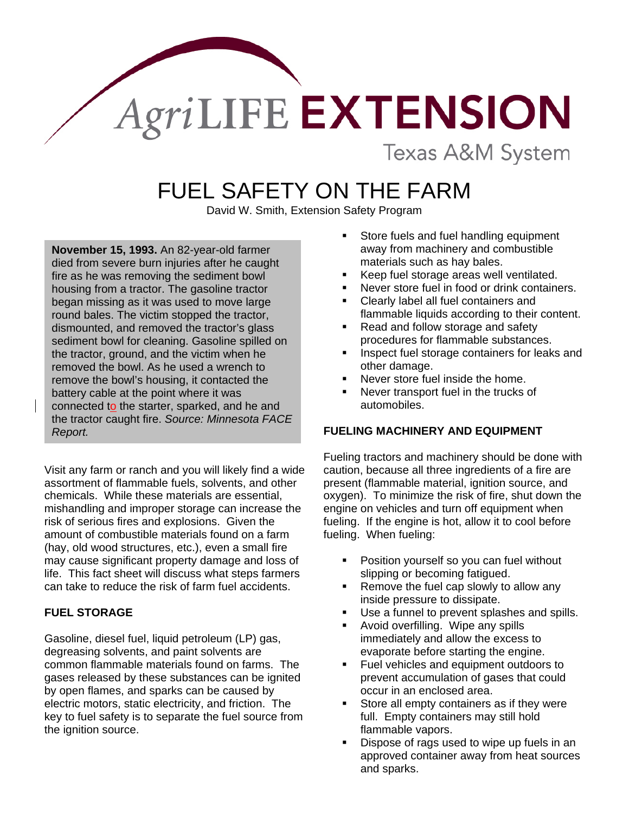# AgriLIFE EXTENSION

**Texas A&M System** 

# FUEL SAFETY ON THE FARM

David W. Smith, Extension Safety Program

**November 15, 1993.** An 82-year-old farmer died from severe burn injuries after he caught fire as he was removing the sediment bowl housing from a tractor. The gasoline tractor began missing as it was used to move large round bales. The victim stopped the tractor, dismounted, and removed the tractor's glass sediment bowl for cleaning. Gasoline spilled on the tractor, ground, and the victim when he removed the bowl. As he used a wrench to remove the bowl's housing, it contacted the battery cable at the point where it was connected to the starter, sparked, and he and the tractor caught fire. *Source: Minnesota FACE Report.*

Visit any farm or ranch and you will likely find a wide assortment of flammable fuels, solvents, and other chemicals. While these materials are essential, mishandling and improper storage can increase the risk of serious fires and explosions. Given the amount of combustible materials found on a farm (hay, old wood structures, etc.), even a small fire may cause significant property damage and loss of life. This fact sheet will discuss what steps farmers can take to reduce the risk of farm fuel accidents.

#### **FUEL STORAGE**

Gasoline, diesel fuel, liquid petroleum (LP) gas, degreasing solvents, and paint solvents are common flammable materials found on farms. The gases released by these substances can be ignited by open flames, and sparks can be caused by electric motors, static electricity, and friction. The key to fuel safety is to separate the fuel source from the ignition source.

- Store fuels and fuel handling equipment away from machinery and combustible materials such as hay bales.
- Keep fuel storage areas well ventilated.
- Never store fuel in food or drink containers.
- Clearly label all fuel containers and flammable liquids according to their content.
- Read and follow storage and safety procedures for flammable substances.
- Inspect fuel storage containers for leaks and other damage.
- **Never store fuel inside the home.**
- Never transport fuel in the trucks of automobiles.

#### **FUELING MACHINERY AND EQUIPMENT**

Fueling tractors and machinery should be done with caution, because all three ingredients of a fire are present (flammable material, ignition source, and oxygen). To minimize the risk of fire, shut down the engine on vehicles and turn off equipment when fueling. If the engine is hot, allow it to cool before fueling. When fueling:

- Position yourself so you can fuel without slipping or becoming fatigued.
- Remove the fuel cap slowly to allow any inside pressure to dissipate.
- Use a funnel to prevent splashes and spills.
- Avoid overfilling. Wipe any spills immediately and allow the excess to evaporate before starting the engine.
- Fuel vehicles and equipment outdoors to prevent accumulation of gases that could occur in an enclosed area.
- Store all empty containers as if they were full. Empty containers may still hold flammable vapors.
- Dispose of rags used to wipe up fuels in an approved container away from heat sources and sparks.